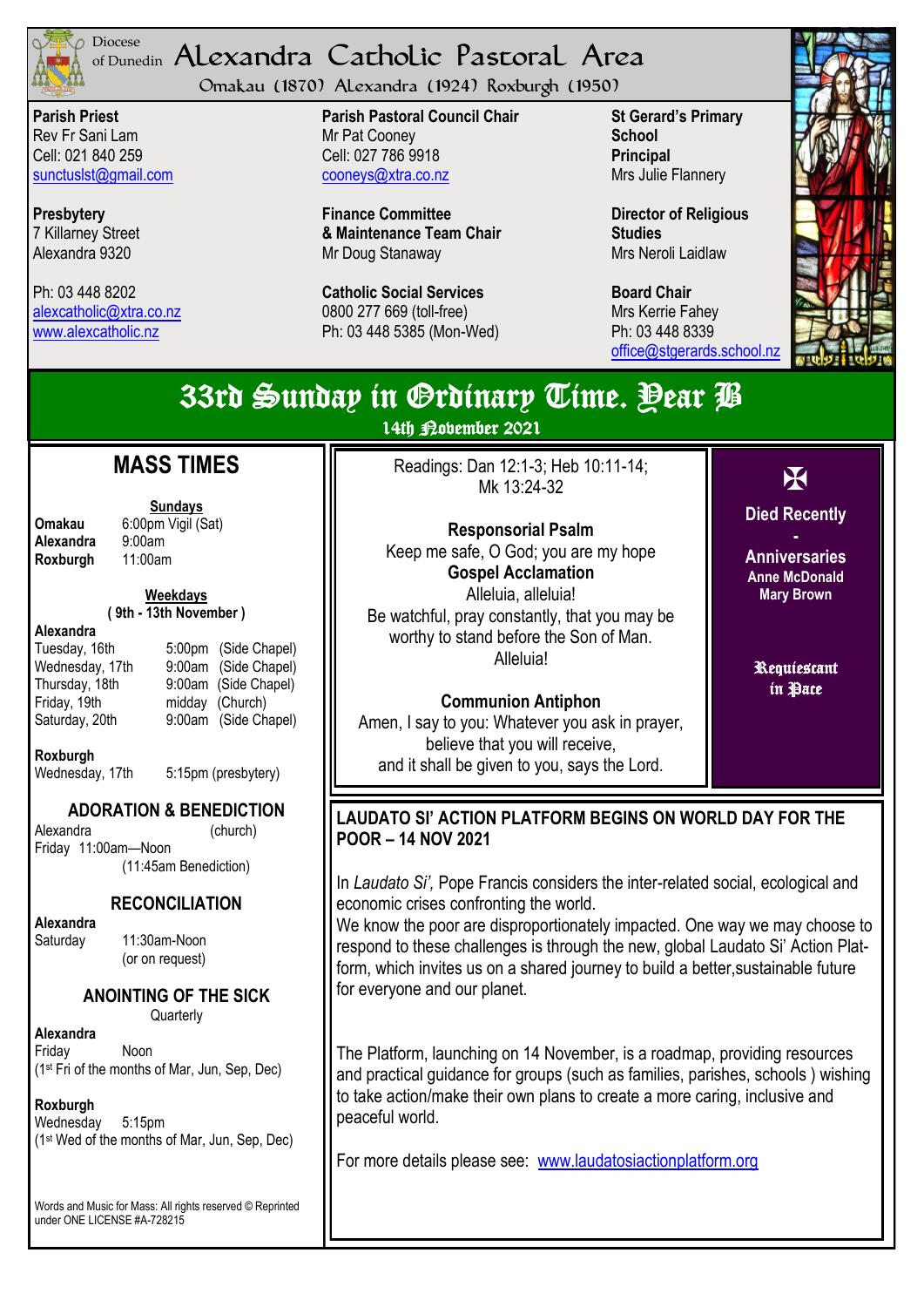

#### <sup>Diocese</sup> Alexandra Catholic Pastoral Area of Dunedin

Omakau (1870) Alexandra (1924) Roxburgh (1950)

**Parish Priest** Rev Fr Sani Lam Cell: 021 840 259 [sunctuslst@gmail.com](mailto:mailto:sunctuslst@gmail.com)

**Presbytery** 7 Killarney Street Alexandra 9320

Ph: 03 448 8202 [alexcatholic@xtra.co.nz](mailto:mailto:alexcatholic@xtra.co.nz) www.alexcatholic.nz

**Parish Pastoral Council Chair** Mr Pat Cooney Cell: 027 786 9918 cooneys@xtra.co.nz

**Finance Committee & Maintenance Team Chair** Mr Doug Stanaway

**Catholic Social Services**  0800 277 669 (toll-free) Ph: 03 448 5385 (Mon-Wed) **St Gerard's Primary School Principal** Mrs Julie Flannery

**Director of Religious Studies** Mrs Neroli Laidlaw

**Board Chair** Mrs Kerrie Fahey Ph: 03 448 8339 [office@stgerards.school.nz](mailto:mailto:office@stgerards.school.nz)



#### X **Died Recently - Anniversaries Anne McDonald Mary Brown** Requiescant in Pace 33rd Sunday in Ordinary Time. Year B 14th Robember 2021 **MASS TIMES** Readings: Dan 12:1-3; Heb 10:11-14; Mk 13:24-32 **Responsorial Psalm**  Keep me safe, O God; you are my hope **Gospel Acclamation**  Alleluia, alleluia! Be watchful, pray constantly, that you may be worthy to stand before the Son of Man. Alleluia! **Communion Antiphon**  Amen, I say to you: Whatever you ask in prayer, believe that you will receive, and it shall be given to you, says the Lord. **LAUDATO SI' ACTION PLATFORM BEGINS ON WORLD DAY FOR THE POOR – 14 NOV 2021** In *Laudato Si',* Pope Francis considers the inter-related social, ecological and economic crises confronting the world. We know the poor are disproportionately impacted. One way we may choose to respond to these challenges is through the new, global Laudato Si' Action Platform, which invites us on a shared journey to build a better,sustainable future

for everyone and our planet.

The Platform, launching on 14 November, is a roadmap, providing resources and practical guidance for groups (such as families, parishes, schools ) wishing to take action/make their own plans to create a more caring, inclusive and peaceful world.

For more details please see: [www.laudatosiactionplatform.org](http://www.laudatosiactionplatform.org/)

**Alexandra** 9:00am<br>**Roxburgh** 11:00am **Roxburgh** 

**Sundays Omakau** 6:00pm Vigil (Sat)<br>**Alexandra** 9:00am

> **Weekdays ( 9th - 13th November )**

#### **Alexandra**

Tuesday, 16th 5:00pm (Side Chapel) Wednesday, 17th 9:00am (Side Chapel) Thursday, 18th 9:00am (Side Chapel) Friday, 19th midday (Church) Saturday, 20th 9:00am (Side Chapel)

**Roxburgh**

Wednesday, 17th 5:15pm (presbytery)

## **ADORATION & BENEDICTION**

Alexandra (church) Friday 11:00am—Noon (11:45am Benediction)

#### **RECONCILIATION**

**Alexandra** 

Saturday 11:30am-Noon (or on request)

### **ANOINTING OF THE SICK**

**Quarterly** 

**Alexandra** Friday Noon (1st Fri of the months of Mar, Jun, Sep, Dec)

#### **Roxburgh**

Wednesday 5:15pm (1st Wed of the months of Mar, Jun, Sep, Dec)

Words and Music for Mass: All rights reserved © Reprinted under ONE LICENSE #A-728215